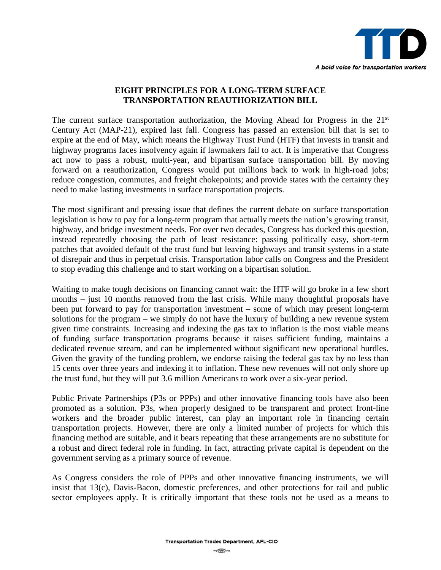

## **EIGHT PRINCIPLES FOR A LONG-TERM SURFACE TRANSPORTATION REAUTHORIZATION BILL**

The current surface transportation authorization, the Moving Ahead for Progress in the  $21<sup>st</sup>$ Century Act (MAP-21), expired last fall. Congress has passed an extension bill that is set to expire at the end of May, which means the Highway Trust Fund (HTF) that invests in transit and highway programs faces insolvency again if lawmakers fail to act. It is imperative that Congress act now to pass a robust, multi-year, and bipartisan surface transportation bill. By moving forward on a reauthorization, Congress would put millions back to work in high-road jobs; reduce congestion, commutes, and freight chokepoints; and provide states with the certainty they need to make lasting investments in surface transportation projects.

The most significant and pressing issue that defines the current debate on surface transportation legislation is how to pay for a long-term program that actually meets the nation's growing transit, highway, and bridge investment needs. For over two decades, Congress has ducked this question, instead repeatedly choosing the path of least resistance: passing politically easy, short-term patches that avoided default of the trust fund but leaving highways and transit systems in a state of disrepair and thus in perpetual crisis. Transportation labor calls on Congress and the President to stop evading this challenge and to start working on a bipartisan solution.

Waiting to make tough decisions on financing cannot wait: the HTF will go broke in a few short months – just 10 months removed from the last crisis. While many thoughtful proposals have been put forward to pay for transportation investment – some of which may present long-term solutions for the program – we simply do not have the luxury of building a new revenue system given time constraints. Increasing and indexing the gas tax to inflation is the most viable means of funding surface transportation programs because it raises sufficient funding, maintains a dedicated revenue stream, and can be implemented without significant new operational hurdles. Given the gravity of the funding problem, we endorse raising the federal gas tax by no less than 15 cents over three years and indexing it to inflation. These new revenues will not only shore up the trust fund, but they will put 3.6 million Americans to work over a six-year period.

Public Private Partnerships (P3s or PPPs) and other innovative financing tools have also been promoted as a solution. P3s, when properly designed to be transparent and protect front-line workers and the broader public interest, can play an important role in financing certain transportation projects. However, there are only a limited number of projects for which this financing method are suitable, and it bears repeating that these arrangements are no substitute for a robust and direct federal role in funding. In fact, attracting private capital is dependent on the government serving as a primary source of revenue.

As Congress considers the role of PPPs and other innovative financing instruments, we will insist that 13(c), Davis-Bacon, domestic preferences, and other protections for rail and public sector employees apply. It is critically important that these tools not be used as a means to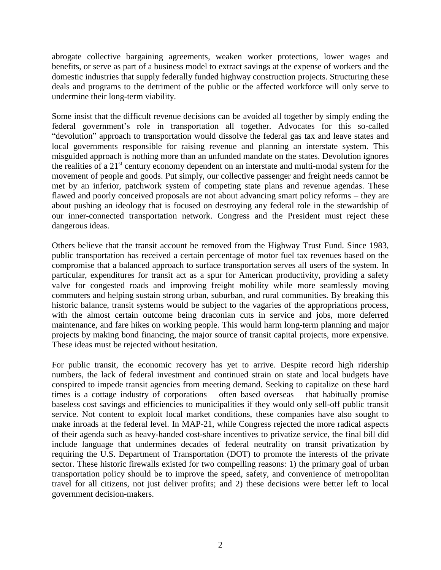abrogate collective bargaining agreements, weaken worker protections, lower wages and benefits, or serve as part of a business model to extract savings at the expense of workers and the domestic industries that supply federally funded highway construction projects. Structuring these deals and programs to the detriment of the public or the affected workforce will only serve to undermine their long-term viability.

Some insist that the difficult revenue decisions can be avoided all together by simply ending the federal government's role in transportation all together. Advocates for this so-called "devolution" approach to transportation would dissolve the federal gas tax and leave states and local governments responsible for raising revenue and planning an interstate system. This misguided approach is nothing more than an unfunded mandate on the states. Devolution ignores the realities of a 21<sup>st</sup> century economy dependent on an interstate and multi-modal system for the movement of people and goods. Put simply, our collective passenger and freight needs cannot be met by an inferior, patchwork system of competing state plans and revenue agendas. These flawed and poorly conceived proposals are not about advancing smart policy reforms – they are about pushing an ideology that is focused on destroying any federal role in the stewardship of our inner-connected transportation network. Congress and the President must reject these dangerous ideas.

Others believe that the transit account be removed from the Highway Trust Fund. Since 1983, public transportation has received a certain percentage of motor fuel tax revenues based on the compromise that a balanced approach to surface transportation serves all users of the system. In particular, expenditures for transit act as a spur for American productivity, providing a safety valve for congested roads and improving freight mobility while more seamlessly moving commuters and helping sustain strong urban, suburban, and rural communities. By breaking this historic balance, transit systems would be subject to the vagaries of the appropriations process, with the almost certain outcome being draconian cuts in service and jobs, more deferred maintenance, and fare hikes on working people. This would harm long-term planning and major projects by making bond financing, the major source of transit capital projects, more expensive. These ideas must be rejected without hesitation.

For public transit, the economic recovery has yet to arrive. Despite record high ridership numbers, the lack of federal investment and continued strain on state and local budgets have conspired to impede transit agencies from meeting demand. Seeking to capitalize on these hard times is a cottage industry of corporations – often based overseas – that habitually promise baseless cost savings and efficiencies to municipalities if they would only sell-off public transit service. Not content to exploit local market conditions, these companies have also sought to make inroads at the federal level. In MAP-21, while Congress rejected the more radical aspects of their agenda such as heavy-handed cost-share incentives to privatize service, the final bill did include language that undermines decades of federal neutrality on transit privatization by requiring the U.S. Department of Transportation (DOT) to promote the interests of the private sector. These historic firewalls existed for two compelling reasons: 1) the primary goal of urban transportation policy should be to improve the speed, safety, and convenience of metropolitan travel for all citizens, not just deliver profits; and 2) these decisions were better left to local government decision-makers.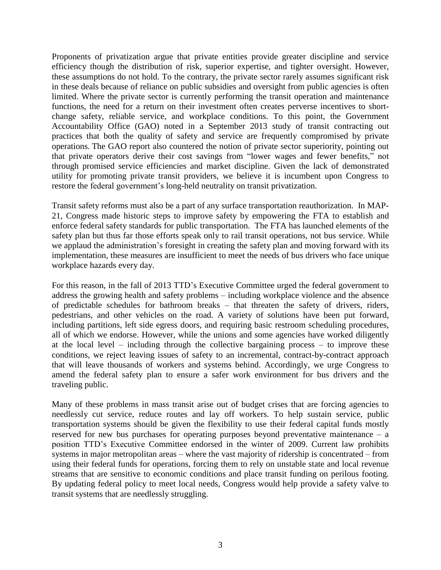Proponents of privatization argue that private entities provide greater discipline and service efficiency though the distribution of risk, superior expertise, and tighter oversight. However, these assumptions do not hold. To the contrary, the private sector rarely assumes significant risk in these deals because of reliance on public subsidies and oversight from public agencies is often limited. Where the private sector is currently performing the transit operation and maintenance functions, the need for a return on their investment often creates perverse incentives to shortchange safety, reliable service, and workplace conditions. To this point, the Government Accountability Office (GAO) noted in a September 2013 study of transit contracting out practices that both the quality of safety and service are frequently compromised by private operations. The GAO report also countered the notion of private sector superiority, pointing out that private operators derive their cost savings from "lower wages and fewer benefits," not through promised service efficiencies and market discipline. Given the lack of demonstrated utility for promoting private transit providers, we believe it is incumbent upon Congress to restore the federal government's long-held neutrality on transit privatization.

Transit safety reforms must also be a part of any surface transportation reauthorization. In MAP-21, Congress made historic steps to improve safety by empowering the FTA to establish and enforce federal safety standards for public transportation. The FTA has launched elements of the safety plan but thus far those efforts speak only to rail transit operations, not bus service. While we applaud the administration's foresight in creating the safety plan and moving forward with its implementation, these measures are insufficient to meet the needs of bus drivers who face unique workplace hazards every day.

For this reason, in the fall of 2013 TTD's Executive Committee urged the federal government to address the growing health and safety problems – including workplace violence and the absence of predictable schedules for bathroom breaks – that threaten the safety of drivers, riders, pedestrians, and other vehicles on the road. A variety of solutions have been put forward, including partitions, left side egress doors, and requiring basic restroom scheduling procedures, all of which we endorse. However, while the unions and some agencies have worked diligently at the local level – including through the collective bargaining process – to improve these conditions, we reject leaving issues of safety to an incremental, contract-by-contract approach that will leave thousands of workers and systems behind. Accordingly, we urge Congress to amend the federal safety plan to ensure a safer work environment for bus drivers and the traveling public.

Many of these problems in mass transit arise out of budget crises that are forcing agencies to needlessly cut service, reduce routes and lay off workers. To help sustain service, public transportation systems should be given the flexibility to use their federal capital funds mostly reserved for new bus purchases for operating purposes beyond preventative maintenance – a position TTD's Executive Committee endorsed in the winter of 2009. Current law prohibits systems in major metropolitan areas – where the vast majority of ridership is concentrated – from using their federal funds for operations, forcing them to rely on unstable state and local revenue streams that are sensitive to economic conditions and place transit funding on perilous footing. By updating federal policy to meet local needs, Congress would help provide a safety valve to transit systems that are needlessly struggling.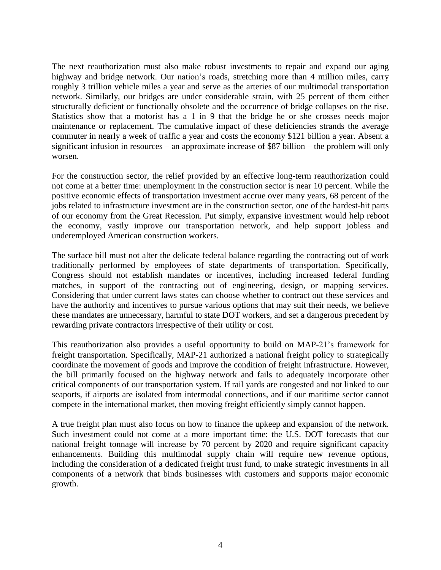The next reauthorization must also make robust investments to repair and expand our aging highway and bridge network. Our nation's roads, stretching more than 4 million miles, carry roughly 3 trillion vehicle miles a year and serve as the arteries of our multimodal transportation network. Similarly, our bridges are under considerable strain, with 25 percent of them either structurally deficient or functionally obsolete and the occurrence of bridge collapses on the rise. Statistics show that a motorist has a 1 in 9 that the bridge he or she crosses needs major maintenance or replacement. The cumulative impact of these deficiencies strands the average commuter in nearly a week of traffic a year and costs the economy \$121 billion a year. Absent a significant infusion in resources – an approximate increase of \$87 billion – the problem will only worsen.

For the construction sector, the relief provided by an effective long-term reauthorization could not come at a better time: unemployment in the construction sector is near 10 percent. While the positive economic effects of transportation investment accrue over many years, 68 percent of the jobs related to infrastructure investment are in the construction sector, one of the hardest-hit parts of our economy from the Great Recession. Put simply, expansive investment would help reboot the economy, vastly improve our transportation network, and help support jobless and underemployed American construction workers.

The surface bill must not alter the delicate federal balance regarding the contracting out of work traditionally performed by employees of state departments of transportation. Specifically, Congress should not establish mandates or incentives, including increased federal funding matches, in support of the contracting out of engineering, design, or mapping services. Considering that under current laws states can choose whether to contract out these services and have the authority and incentives to pursue various options that may suit their needs, we believe these mandates are unnecessary, harmful to state DOT workers, and set a dangerous precedent by rewarding private contractors irrespective of their utility or cost.

This reauthorization also provides a useful opportunity to build on MAP-21's framework for freight transportation. Specifically, MAP-21 authorized a national freight policy to strategically coordinate the movement of goods and improve the condition of freight infrastructure. However, the bill primarily focused on the highway network and fails to adequately incorporate other critical components of our transportation system. If rail yards are congested and not linked to our seaports, if airports are isolated from intermodal connections, and if our maritime sector cannot compete in the international market, then moving freight efficiently simply cannot happen.

A true freight plan must also focus on how to finance the upkeep and expansion of the network. Such investment could not come at a more important time: the U.S. DOT forecasts that our national freight tonnage will increase by 70 percent by 2020 and require significant capacity enhancements. Building this multimodal supply chain will require new revenue options, including the consideration of a dedicated freight trust fund, to make strategic investments in all components of a network that binds businesses with customers and supports major economic growth.